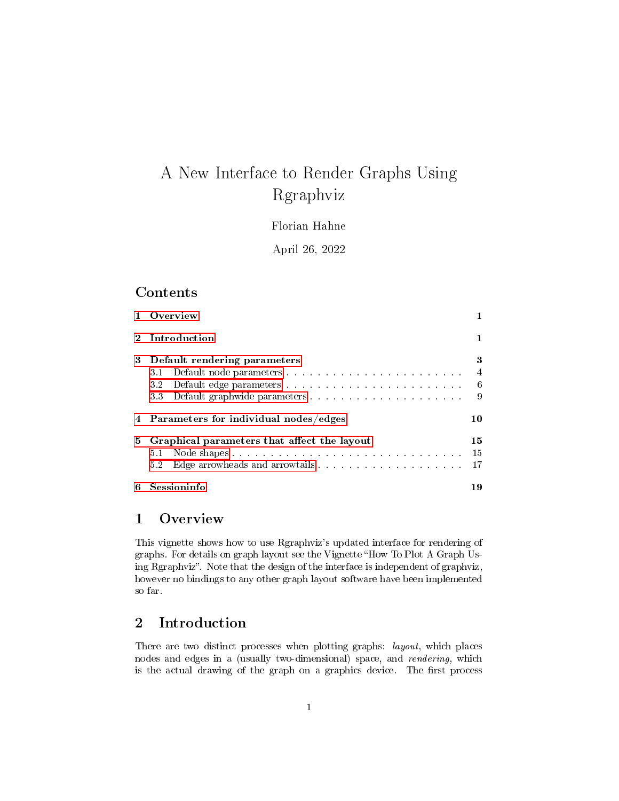# A New Interface to Render Graphs Using Rgraphviz

Florian Hahne

April 26, 2022

### Contents

|    | 1 Overview                                  |     |
|----|---------------------------------------------|-----|
|    | Introduction                                |     |
| 3  | Default rendering parameters                | 3   |
|    | 3.1                                         | 4   |
|    | $3.2^{\circ}$                               | 6   |
|    | 3.3                                         | 9   |
| 4  | Parameters for individual nodes/edges       | 10. |
| 5. | Graphical parameters that affect the layout | 15  |
|    | 5.1                                         | 15  |
|    | 5.2                                         | 17  |
| 6  | Sessioninfo                                 | 19  |

### <span id="page-0-0"></span>1 Overview

This vignette shows how to use Rgraphviz's updated interface for rendering of graphs. For details on graph layout see the Vignette How To Plot A Graph Using Rgraphviz. Note that the design of the interface is independent of graphviz, however no bindings to any other graph layout software have been implemented so far.

# <span id="page-0-1"></span>2 Introduction

There are two distinct processes when plotting graphs: *layout*, which places nodes and edges in a (usually two-dimensional) space, and rendering, which is the actual drawing of the graph on a graphics device. The first process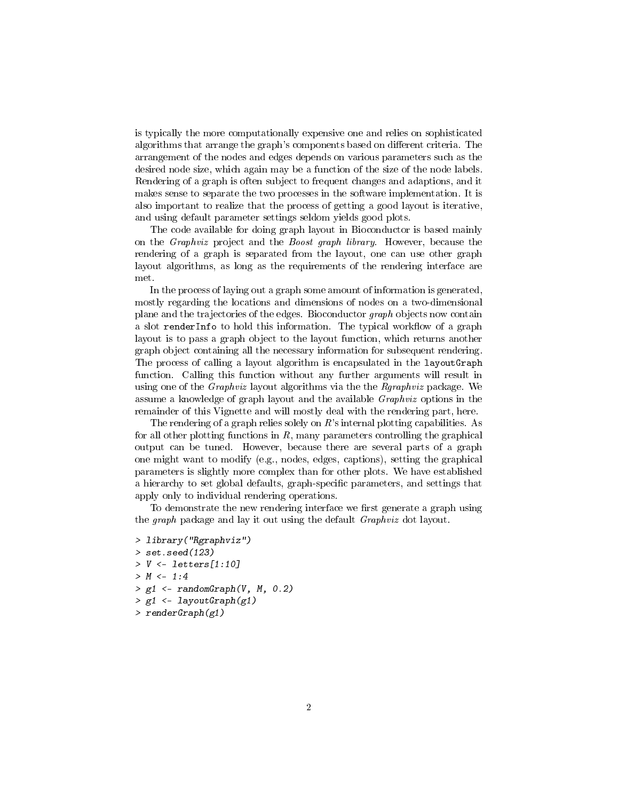is typically the more computationally expensive one and relies on sophisticated algorithms that arrange the graph's components based on different criteria. The arrangement of the nodes and edges depends on various parameters such as the desired node size, which again may be a function of the size of the node labels. Rendering of a graph is often subject to frequent changes and adaptions, and it makes sense to separate the two processes in the software implementation. It is also important to realize that the process of getting a good layout is iterative, and using default parameter settings seldom yields good plots.

The code available for doing graph layout in Bioconductor is based mainly on the Graphviz project and the Boost graph library. However, because the rendering of a graph is separated from the layout, one can use other graph layout algorithms, as long as the requirements of the rendering interface are met.

In the process of laying out a graph some amount of information is generated, mostly regarding the locations and dimensions of nodes on a two-dimensional plane and the trajectories of the edges. Bioconductor graph objects now contain a slot renderInfo to hold this information. The typical workflow of a graph layout is to pass a graph object to the layout function, which returns another graph object containing all the necessary information for subsequent rendering. The process of calling a layout algorithm is encapsulated in the layoutGraph function. Calling this function without any further arguments will result in using one of the *Graphviz* layout algorithms via the the *Raraphviz* package. We assume a knowledge of graph layout and the available Graphviz options in the remainder of this Vignette and will mostly deal with the rendering part, here.

The rendering of a graph relies solely on  $R$ 's internal plotting capabilities. As for all other plotting functions in  $R$ , many parameters controlling the graphical output can be tuned. However, because there are several parts of a graph one might want to modify (e.g., nodes, edges, captions), setting the graphical parameters is slightly more complex than for other plots. We have established a hierarchy to set global defaults, graph-specific parameters, and settings that apply only to individual rendering operations.

To demonstrate the new rendering interface we first generate a graph using the graph package and lay it out using the default Graphviz dot layout.

```
> library("Rgraphviz")
> set. seed (123)
> V <- letters[1:10]
> M < -1:4> g1 \leq randomGraph(V, M, 0.2)
> g1 <- layoutGraph(g1)
> renderGraph(g1)
```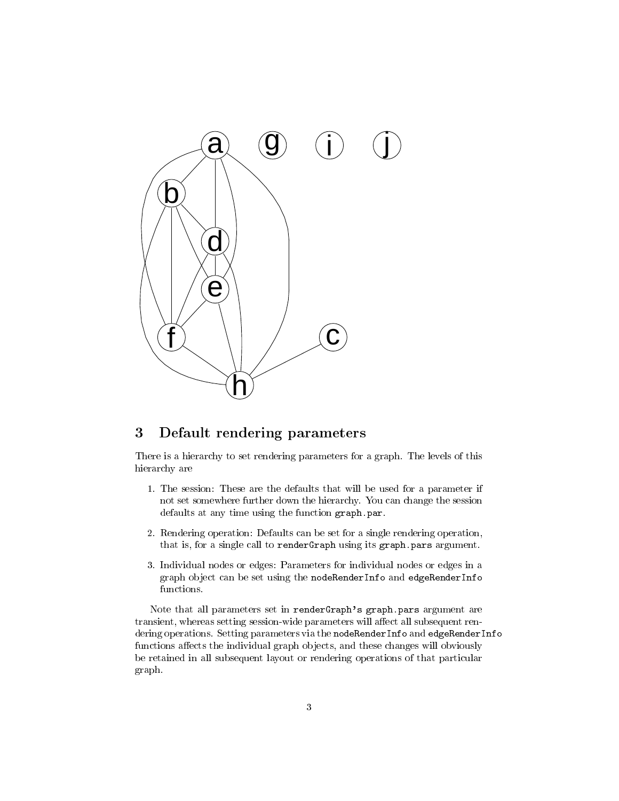

### <span id="page-2-0"></span>3 Default rendering parameters

There is a hierarchy to set rendering parameters for a graph. The levels of this hierarchy are

- 1. The session: These are the defaults that will be used for a parameter if not set somewhere further down the hierarchy. You can change the session defaults at any time using the function graph.par.
- 2. Rendering operation: Defaults can be set for a single rendering operation, that is, for a single call to renderGraph using its graph.pars argument.
- 3. Individual nodes or edges: Parameters for individual nodes or edges in a graph object can be set using the nodeRenderInfo and edgeRenderInfo functions.

Note that all parameters set in renderGraph's graph.pars argument are transient, whereas setting session-wide parameters will affect all subsequent rendering operations. Setting parameters via the nodeRenderInfo and edgeRenderInfo functions affects the individual graph objects, and these changes will obviously be retained in all subsequent layout or rendering operations of that particular graph.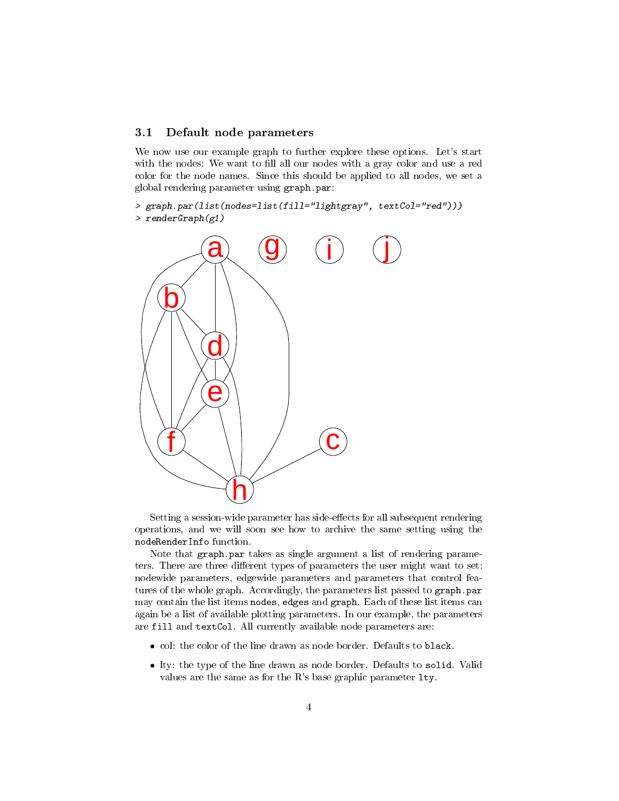#### <span id="page-3-0"></span>3.1 Default node parameters

We now use our example graph to further explore these options. Let's start with the nodes: We want to fill all our nodes with a gray color and use a red color for the node names. Since this should be applied to all nodes, we set a global rendering parameter using graph.par:

> graph.par(list(nodes=list(fill="lightgray", textCol="red")))

 $>$  renderGraph( $g1$ )



Setting a session-wide parameter has side-effects for all subsequent rendering operations, and we will soon see how to archive the same setting using the nodeRenderInfo function.

Note that graph.par takes as single argument a list of rendering parameters. There are three different types of parameters the user might want to set: nodewide parameters, edgewide parameters and parameters that control features of the whole graph. Accordingly, the parameters list passed to graph.par may contain the list items nodes, edges and graph. Each of these list items can again be a list of available plotting parameters. In our example, the parameters are fill and textCol. All currently available node parameters are:

- col: the color of the line drawn as node border. Defaults to black.
- lty: the type of the line drawn as node border. Defaults to solid. Valid values are the same as for the R's base graphic parameter lty.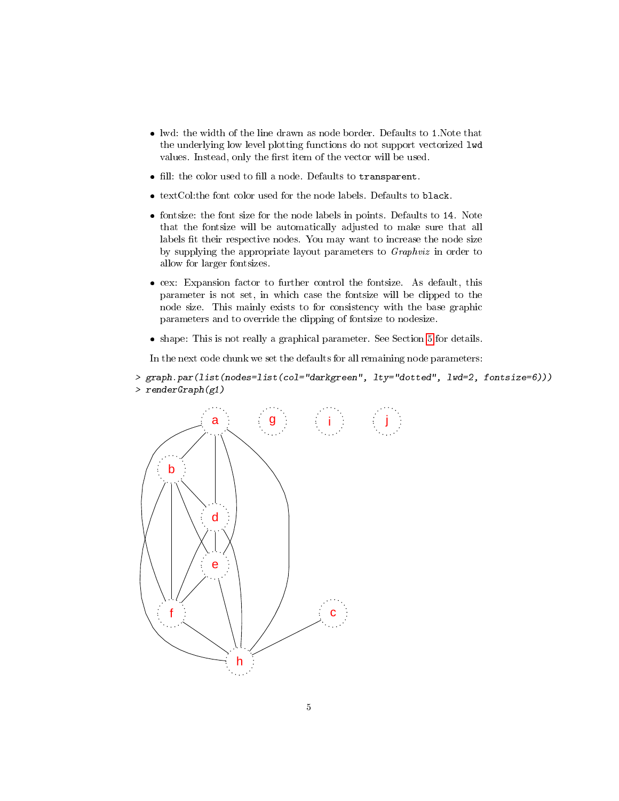- lwd: the width of the line drawn as node border. Defaults to 1.Note that the underlying low level plotting functions do not support vectorized lwd values. Instead, only the first item of the vector will be used.
- fill: the color used to fill a node. Defaults to transparent.
- textCol:the font color used for the node labels. Defaults to black.
- fontsize: the font size for the node labels in points. Defaults to 14. Note that the fontsize will be automatically adjusted to make sure that all labels fit their respective nodes. You may want to increase the node size by supplying the appropriate layout parameters to Graphviz in order to allow for larger fontsizes.
- cex: Expansion factor to further control the fontsize. As default, this parameter is not set, in which case the fontsize will be clipped to the node size. This mainly exists to for consistency with the base graphic parameters and to override the clipping of fontsize to nodesize.
- shape: This is not really a graphical parameter. See Section [5](#page-14-0) for details.

In the next code chunk we set the defaults for all remaining node parameters:

> graph.par(list(nodes=list(col="darkgreen", lty="dotted", lwd=2, fontsize=6))) > renderGraph(g1)

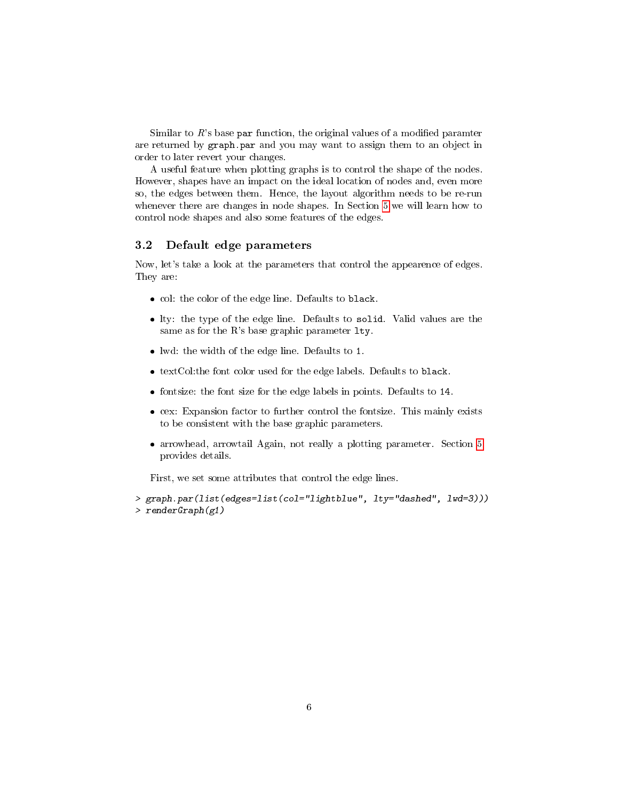Similar to  $R$ 's base par function, the original values of a modified paramter are returned by graph.par and you may want to assign them to an object in order to later revert your changes.

A useful feature when plotting graphs is to control the shape of the nodes. However, shapes have an impact on the ideal location of nodes and, even more so, the edges between them. Hence, the layout algorithm needs to be re-run whenever there are changes in node shapes. In Section [5](#page-14-0) we will learn how to control node shapes and also some features of the edges.

#### <span id="page-5-0"></span>3.2 Default edge parameters

Now, let's take a look at the parameters that control the appearence of edges. They are:

- col: the color of the edge line. Defaults to black.
- lty: the type of the edge line. Defaults to solid. Valid values are the same as for the R's base graphic parameter 1ty.
- lwd: the width of the edge line. Defaults to 1.
- textCol:the font color used for the edge labels. Defaults to black.
- fontsize: the font size for the edge labels in points. Defaults to 14.
- cex: Expansion factor to further control the fontsize. This mainly exists to be consistent with the base graphic parameters.
- arrowhead, arrowtail Again, not really a plotting parameter. Section [5](#page-14-0) provides details.

First, we set some attributes that control the edge lines.

```
> graph.par(list(edges=list(col="lightblue", lty="dashed", lwd=3)))
> renderGraph(g1)
```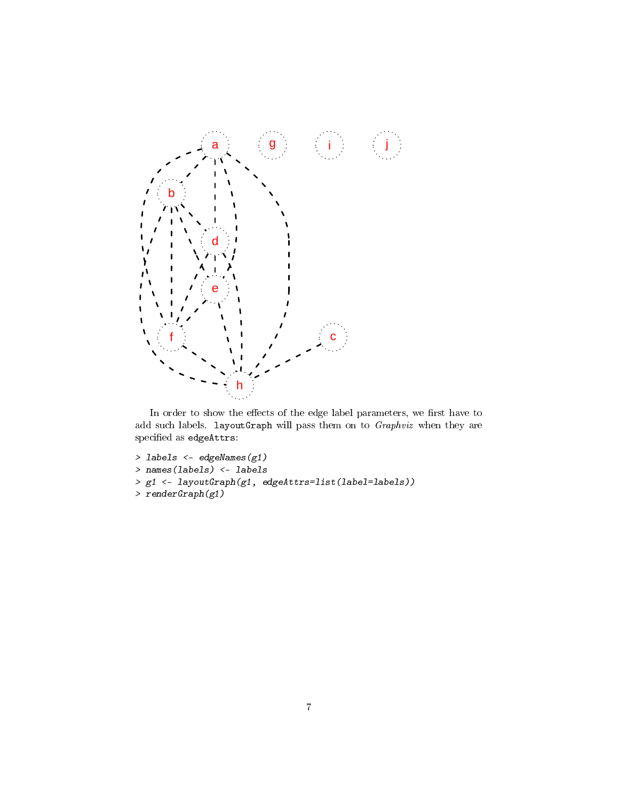

In order to show the effects of the edge label parameters, we first have to add such labels. layoutGraph will pass them on to Graphviz when they are specified as edgeAttrs:

```
> labels <- edgeNames(g1)
> names(labels) <- labels
```
- > g1 <- layoutGraph(g1, edgeAttrs=list(label=labels))
- > renderGraph(g1)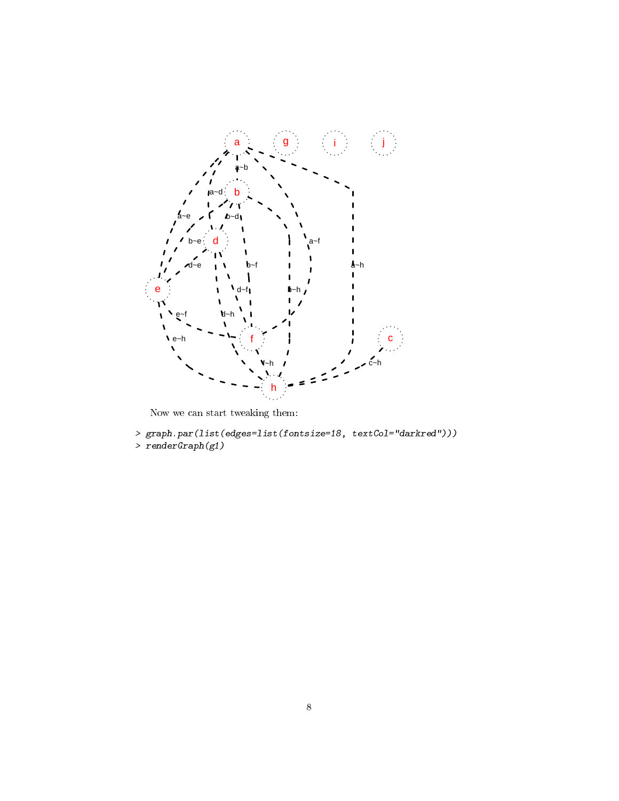

Now we can start tweaking them:

- > graph.par(list(edges=list(fontsize=18, textCol="darkred")))
- > renderGraph(g1)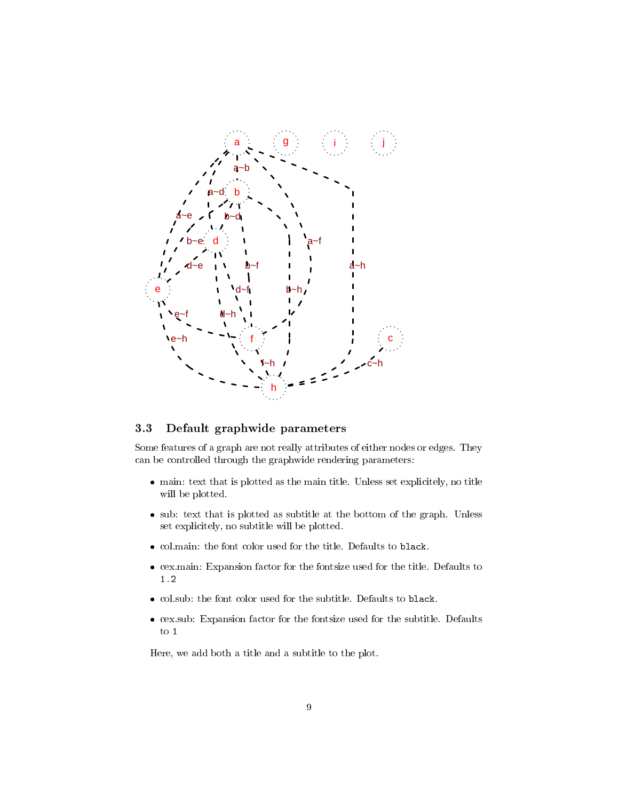

#### <span id="page-8-0"></span>3.3 Default graphwide parameters

Some features of a graph are not really attributes of either nodes or edges. They can be controlled through the graphwide rendering parameters:

- main: text that is plotted as the main title. Unless set explicitely, no title will be plotted.
- sub: text that is plotted as subtitle at the bottom of the graph. Unless set explicitely, no subtitle will be plotted.
- col.main: the font color used for the title. Defaults to black.
- $\bullet\,$ cex.main: Expansion factor for the fontsize used for the title. Defaults to 1.2
- col.sub: the font color used for the subtitle. Defaults to black.
- cex.sub: Expansion factor for the fontsize used for the subtitle. Defaults to 1

Here, we add both a title and a subtitle to the plot.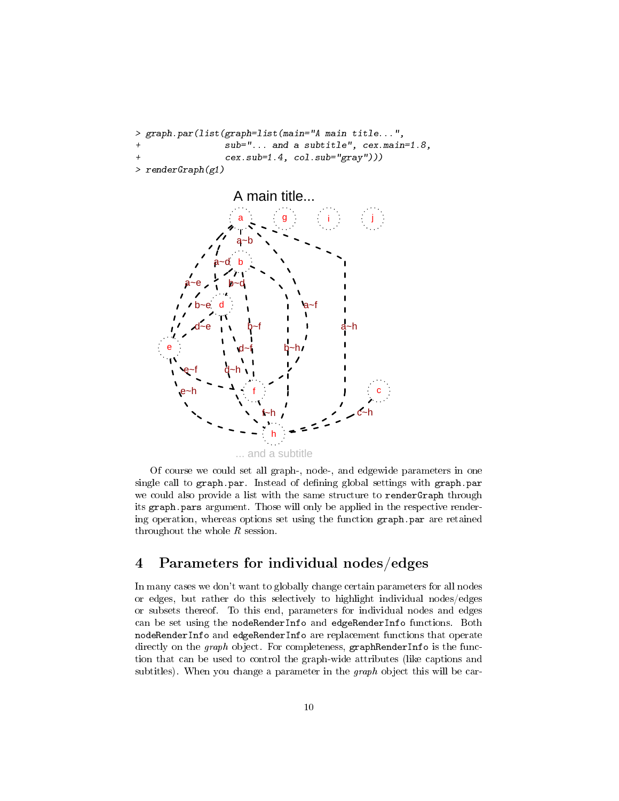```
> graph.par(list(graph=list(main="A main title...",
                 sub="... and a subtitle", cex.main=1.8,
                 cex.sub=1.4, col.sub="gray"))
> renderGraph(g1)
```


Of course we could set all graph-, node-, and edgewide parameters in one single call to graph.par. Instead of defining global settings with graph.par we could also provide a list with the same structure to renderGraph through its graph.pars argument. Those will only be applied in the respective rendering operation, whereas options set using the function graph.par are retained throughout the whole  $R$  session.

### <span id="page-9-0"></span>4 Parameters for individual nodes/edges

In many cases we don't want to globally change certain parameters for all nodes or edges, but rather do this selectively to highlight individual nodes/edges or subsets thereof. To this end, parameters for individual nodes and edges can be set using the nodeRenderInfo and edgeRenderInfo functions. Both nodeRenderInfo and edgeRenderInfo are replacement functions that operate directly on the *graph* object. For completeness, graphRenderInfo is the function that can be used to control the graph-wide attributes (like captions and subtitles). When you change a parameter in the *graph* object this will be car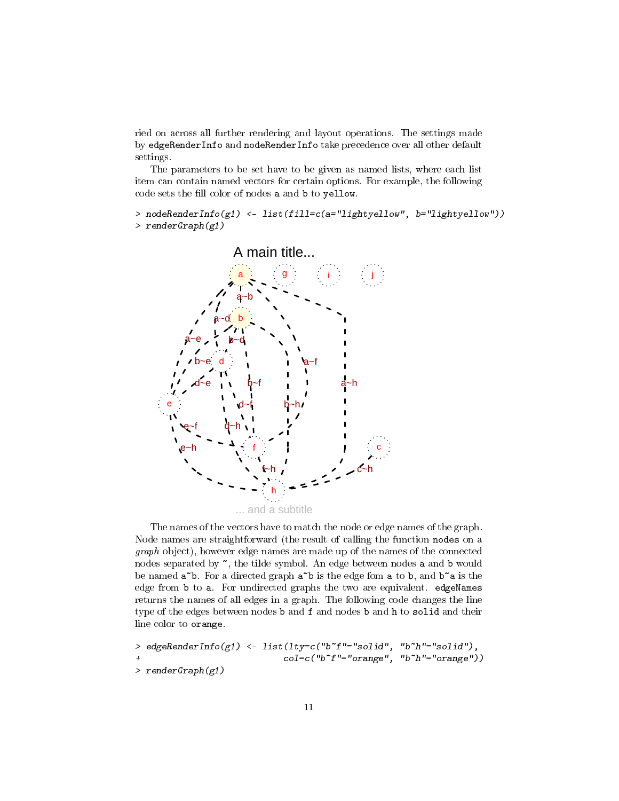ried on across all further rendering and layout operations. The settings made by edgeRenderInfo and nodeRenderInfo take precedence over all other default settings.

The parameters to be set have to be given as named lists, where each list item can contain named vectors for certain options. For example, the following code sets the fill color of nodes a and b to yellow.

> nodeRenderInfo(g1) <- list(fill=c(a="lightyellow", b="lightyellow"))  $>$  renderGraph( $g1$ )



The names of the vectors have to match the node or edge names of the graph. Node names are straightforward (the result of calling the function nodes on a graph object), however edge names are made up of the names of the connected nodes separated by  $\tilde{\phantom{a}}$ , the tilde symbol. An edge between nodes a and b would be named a<sup> $\sim$ </sup>b. For a directed graph a $\sim$ b is the edge fom a to b, and b $\sim$ a is the edge from b to a. For undirected graphs the two are equivalent. edgeNames returns the names of all edges in a graph. The following code changes the line type of the edges between nodes b and f and nodes b and h to solid and their line color to orange.

```
> edgeRenderInfo(g1) <- list(lty=c("b~f"="solid", "b~h"="solid"),
                                    col=c("b~\tilde{\phantom{a}}r="orange", "b~\tilde{\phantom{a}}h"="orange"))> renderGraph(g1)
```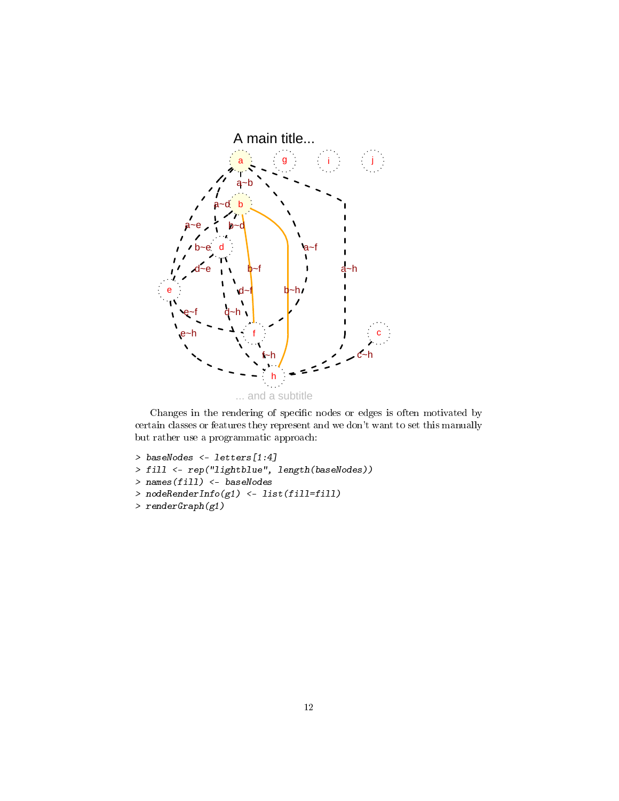

Changes in the rendering of specific nodes or edges is often motivated by certain classes or features they represent and we don't want to set this manually but rather use a programmatic approach:

> baseNodes <- letters[1:4] > fill <- rep("lightblue", length(baseNodes)) > names(fill) <- baseNodes  $>$  nodeRenderInfo(g1) <- list(fill=fill) > renderGraph(g1)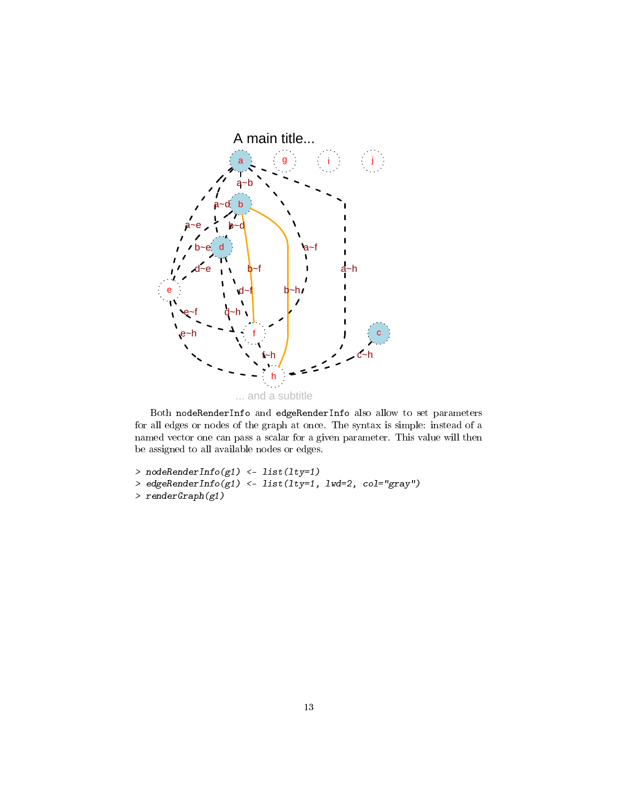

Both nodeRenderInfo and edgeRenderInfo also allow to set parameters for all edges or nodes of the graph at once. The syntax is simple: instead of a named vector one can pass a scalar for a given parameter. This value will then be assigned to all available nodes or edges.

> nodeRenderInfo(g1) <- list(lty=1) > edgeRenderInfo(g1) <- list(lty=1, lwd=2, col="gray")  $>$  renderGraph( $g1$ )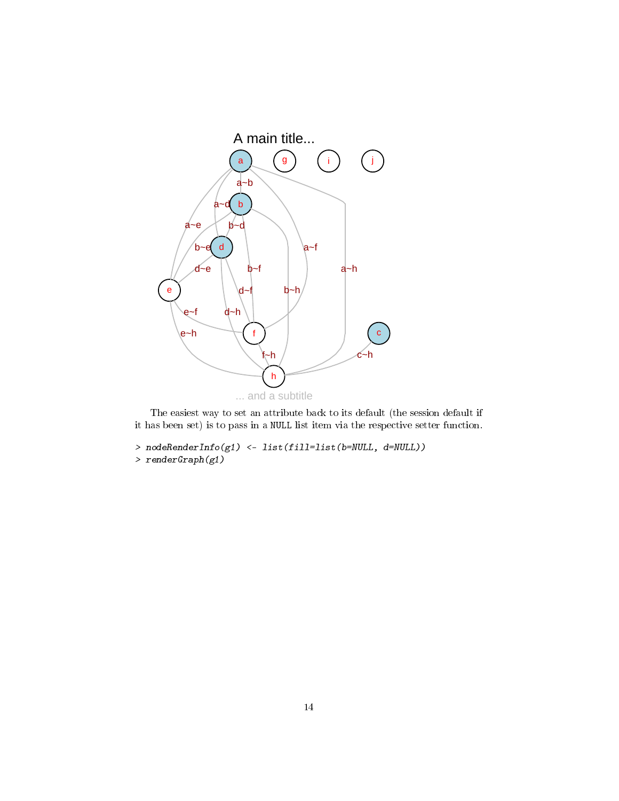

The easiest way to set an attribute back to its default (the session default if it has been set) is to pass in a NULL list item via the respective setter function.

> nodeRenderInfo(g1) <- list(fill=list(b=NULL, d=NULL))  $>$   $\emph{renderGraph(g1)}$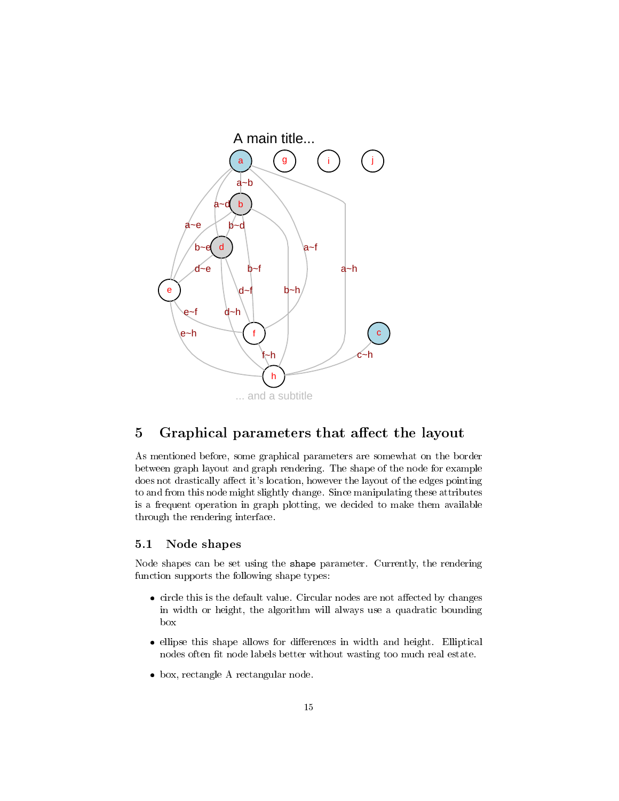

### <span id="page-14-0"></span>5 Graphical parameters that affect the layout

As mentioned before, some graphical parameters are somewhat on the border between graph layout and graph rendering. The shape of the node for example does not drastically affect it's location, however the layout of the edges pointing to and from this node might slightly change. Since manipulating these attributes is a frequent operation in graph plotting, we decided to make them available through the rendering interface.

#### <span id="page-14-1"></span>5.1 Node shapes

Node shapes can be set using the shape parameter. Currently, the rendering function supports the following shape types:

- $\bullet$  circle this is the default value. Circular nodes are not affected by changes in width or height, the algorithm will always use a quadratic bounding box
- $\bullet$  ellipse this shape allows for differences in width and height. Elliptical nodes often fit node labels better without wasting too much real estate.
- box, rectangle A rectangular node.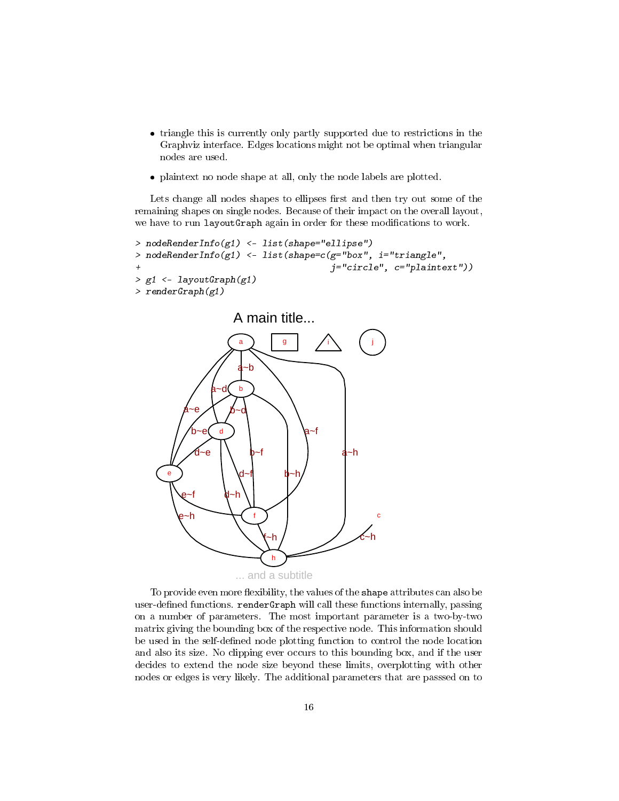- triangle this is currently only partly supported due to restrictions in the Graphviz interface. Edges locations might not be optimal when triangular nodes are used.
- plaintext no node shape at all, only the node labels are plotted.

Lets change all nodes shapes to ellipses first and then try out some of the remaining shapes on single nodes. Because of their impact on the overall layout, we have to run layoutGraph again in order for these modifications to work.

```
> nodeRenderInfo(g1) <- list(shape="ellipse")
> nodeRenderInfo(g1) <- list(shape=c(g="box", i="triangle",
                                     j="circle", c="plaintext"))
> g1 <- layoutGraph(g1)
> renderGraph(g1)
```


To provide even more flexibility, the values of the shape attributes can also be

user-defined functions. renderGraph will call these functions internally, passing on a number of parameters. The most important parameter is a two-by-two matrix giving the bounding box of the respective node. This information should be used in the self-dened node plotting function to control the node location and also its size. No clipping ever occurs to this bounding box, and if the user decides to extend the node size beyond these limits, overplotting with other nodes or edges is very likely. The additional parameters that are passsed on to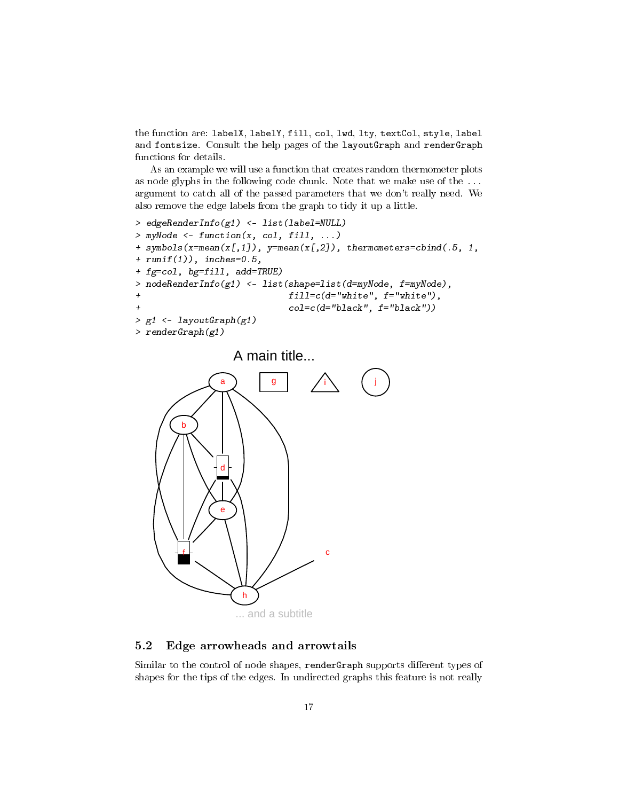the function are: labelX, labelY, fill, col, lwd, lty, textCol, style, label and fontsize. Consult the help pages of the layoutGraph and renderGraph functions for details.

As an example we will use a function that creates random thermometer plots as node glyphs in the following code chunk. Note that we make use of the ... argument to catch all of the passed parameters that we don't really need. We also remove the edge labels from the graph to tidy it up a little.

```
> edgeRenderInfo(g1) <- list(label=NULL)
> myNode <- function(x, col, fill, ...)
+ symbols(x=mean(x[,1]), y=mean(x[,2]), thermometers=cbind(.5, 1,
+ runif(1)), inches=0.5,
+ fg=col, bg=fill, add=TRUE)
> nodeRenderInfo(g1) <- list(shape=list(d=myNode, f=myNode),
                           fill=c(d="white", f="white",+ col=c(d="black", f="black"))
> g1 <- layoutGraph(g1)
> renderGraph(g1)
```
A main title...



#### <span id="page-16-0"></span>5.2 Edge arrowheads and arrowtails

Similar to the control of node shapes, renderGraph supports different types of shapes for the tips of the edges. In undirected graphs this feature is not really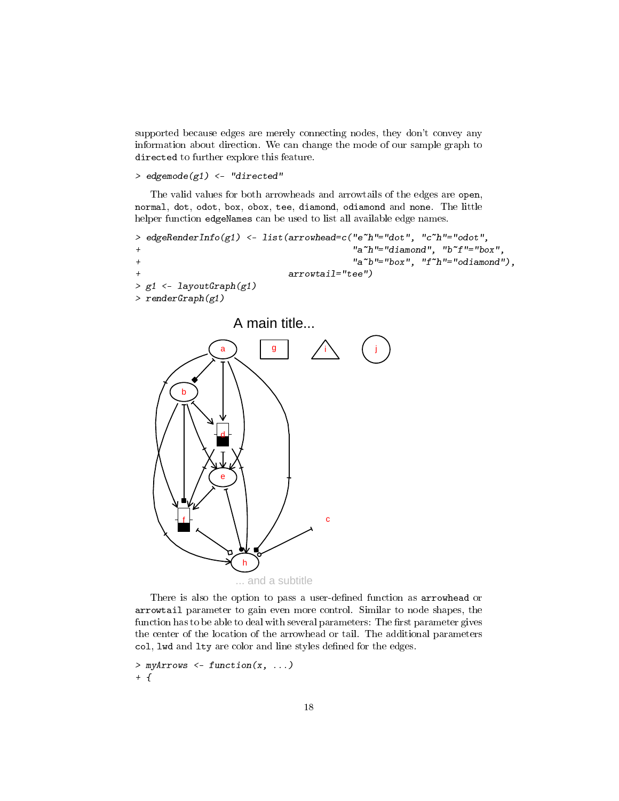supported because edges are merely connecting nodes, they don't convey any information about direction. We can change the mode of our sample graph to directed to further explore this feature.

#### > edgemode(g1) <- "directed"

The valid values for both arrowheads and arrowtails of the edges are open, normal, dot, odot, box, obox, tee, diamond, odiamond and none. The little helper function edgeNames can be used to list all available edge names.

```
> edgeRenderInfo(g1) <- list(arrowhead=c("e~h"="dot", "c~h"="odot",
+ "a^{\sim}h"="diamond", "b\tilde{b}"="box",
+ "a^{\sim}b" = "box", "f^{\sim}h" = "odiamond"+ arrowtail="tee")
> g1 <- layoutGraph(g1)
> renderGraph(g1)
```


There is also the option to pass a user-defined function as arrowhead or arrowtail parameter to gain even more control. Similar to node shapes, the function has to be able to deal with several parameters: The first parameter gives the center of the location of the arrowhead or tail. The additional parameters col, lwd and lty are color and line styles defined for the edges.

```
> myArrows <- function(x, ...)
+ {
```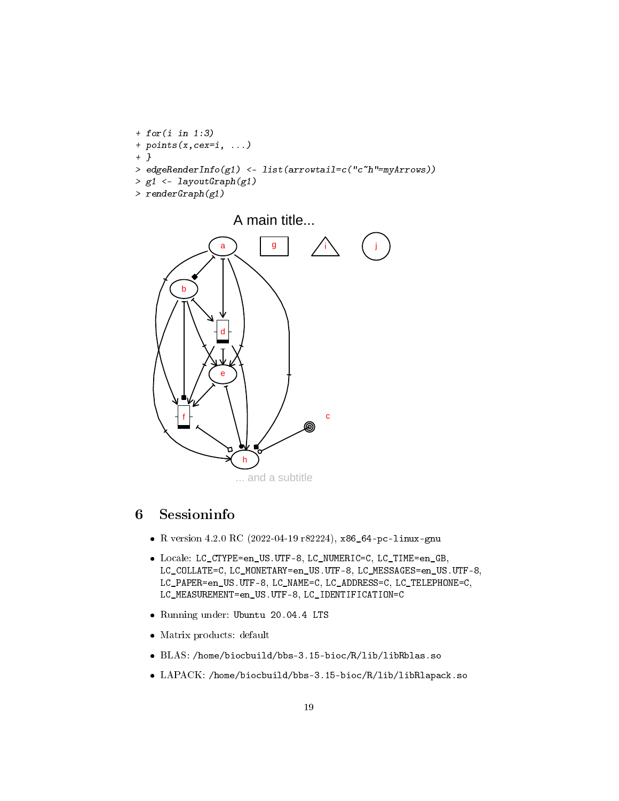```
+ for(i in 1:3)+ points(x,cex=i, ...)
+ }
> edgeRenderInfo(g1) <- list(arrowtail=c("c<sup>-</sup>h"=myArrows))
> g1 <- layoutGraph(g1)
> renderGraph(g1)
```
A main title...



#### ... and a subtitle

## <span id="page-18-0"></span>6 Sessioninfo

- R version 4.2.0 RC (2022-04-19 r82224), x86\_64-pc-linux-gnu
- Locale: LC\_CTYPE=en\_US.UTF-8, LC\_NUMERIC=C, LC\_TIME=en\_GB, LC\_COLLATE=C, LC\_MONETARY=en\_US.UTF-8, LC\_MESSAGES=en\_US.UTF-8, LC\_PAPER=en\_US.UTF-8, LC\_NAME=C, LC\_ADDRESS=C, LC\_TELEPHONE=C, LC\_MEASUREMENT=en\_US.UTF-8, LC\_IDENTIFICATION=C
- Running under: Ubuntu 20.04.4 LTS
- Matrix products: default
- BLAS: /home/biocbuild/bbs-3.15-bioc/R/lib/libRblas.so
- LAPACK: /home/biocbuild/bbs-3.15-bioc/R/lib/libRlapack.so